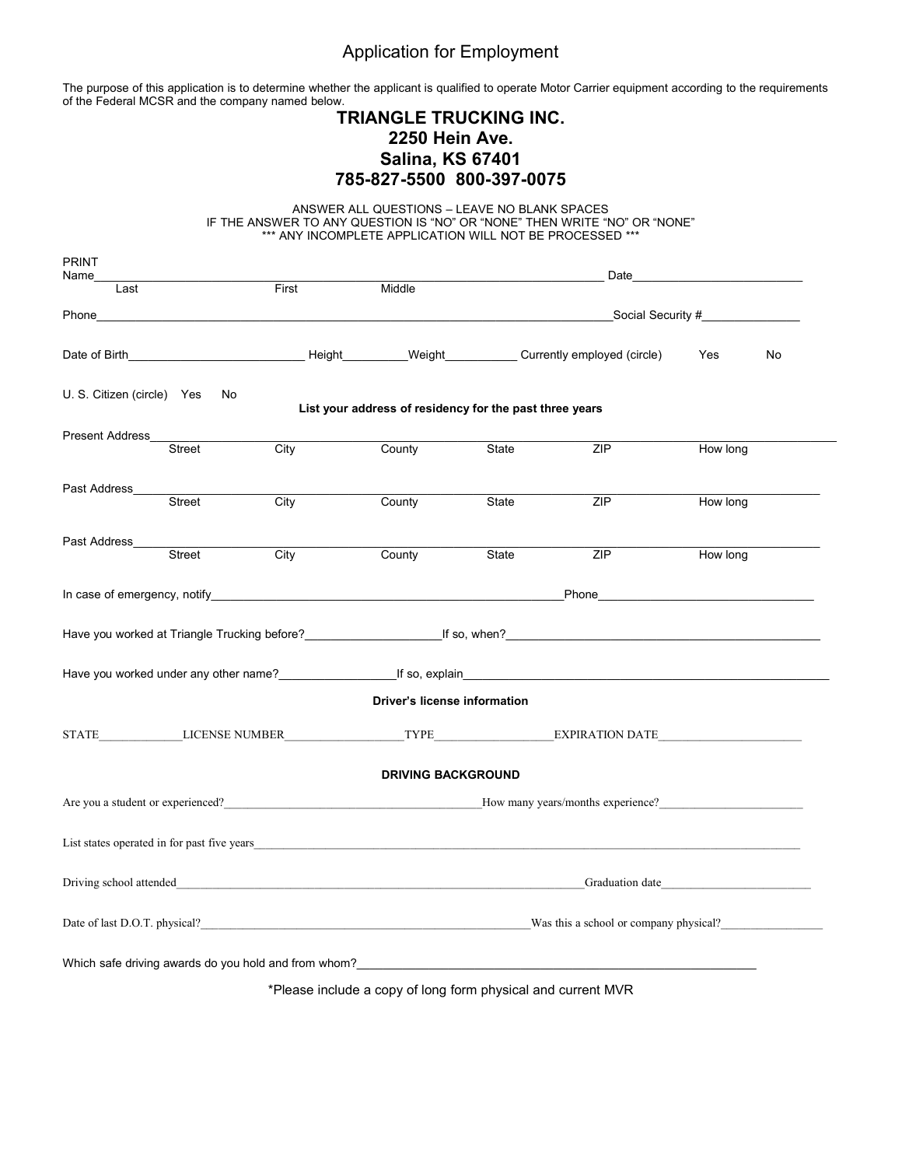# Application for Employment

The purpose of this application is to determine whether the applicant is qualified to operate Motor Carrier equipment according to the requirements of the Federal MCSR and the company named below.

# **TRIANGLE TRUCKING INC. 2250 Hein Ave. Salina, KS 67401 785-827-5500 800-397-0075**

ANSWER ALL QUESTIONS – LEAVE NO BLANK SPACES IF THE ANSWER TO ANY QUESTION IS "NO" OR "NONE" THEN WRITE "NO" OR "NONE" \*\*\* ANY INCOMPLETE APPLICATION WILL NOT BE PROCESSED \*\*\*

| <b>PRINT</b><br>Name                                                                                                                                                                                                                 |                   |                                                              |       |     |          |    |
|--------------------------------------------------------------------------------------------------------------------------------------------------------------------------------------------------------------------------------------|-------------------|--------------------------------------------------------------|-------|-----|----------|----|
| Last                                                                                                                                                                                                                                 | First             | Middle                                                       |       |     |          |    |
| Phone_                                                                                                                                                                                                                               |                   |                                                              |       |     |          |    |
| Date of Birth <b>Exercise Contract Contract Contract Contract Contract Contract Contract Contract Contract Contract Contract Contract Contract Contract Contract Contract Contract Contract Contract Contract Contract Contract </b> |                   |                                                              |       |     | Yes      | No |
| U. S. Citizen (circle) Yes<br>No                                                                                                                                                                                                     |                   | List your address of residency for the past three years      |       |     |          |    |
| Present Address                                                                                                                                                                                                                      |                   |                                                              |       |     |          |    |
| Street                                                                                                                                                                                                                               | $\overline{City}$ | County                                                       | State | ZIP | How long |    |
| Past Address_                                                                                                                                                                                                                        |                   |                                                              |       |     |          |    |
| Street                                                                                                                                                                                                                               | $\overline{City}$ | County                                                       | State | ZIP | How long |    |
| Past Address_                                                                                                                                                                                                                        |                   |                                                              |       |     |          |    |
| Street                                                                                                                                                                                                                               | $\overline{City}$ | County                                                       | State | ZIP | How long |    |
|                                                                                                                                                                                                                                      |                   |                                                              |       |     |          |    |
|                                                                                                                                                                                                                                      |                   |                                                              |       |     |          |    |
|                                                                                                                                                                                                                                      |                   |                                                              |       |     |          |    |
|                                                                                                                                                                                                                                      |                   | <b>Driver's license information</b>                          |       |     |          |    |
| STATE LICENSE NUMBER TYPE EXPIRATION DATE                                                                                                                                                                                            |                   |                                                              |       |     |          |    |
|                                                                                                                                                                                                                                      |                   | <b>DRIVING BACKGROUND</b>                                    |       |     |          |    |
| Are you a student or experienced?<br>How many years/months experience?                                                                                                                                                               |                   |                                                              |       |     |          |    |
| List states operated in for past five years                                                                                                                                                                                          |                   |                                                              |       |     |          |    |
| Driving school attended Graduation date Graduation date Graduation date Graduation date                                                                                                                                              |                   |                                                              |       |     |          |    |
| Date of last D.O.T. physical?<br>Was this a school or company physical?                                                                                                                                                              |                   |                                                              |       |     |          |    |
| Which safe driving awards do you hold and from whom?                                                                                                                                                                                 |                   |                                                              |       |     |          |    |
|                                                                                                                                                                                                                                      |                   |                                                              |       |     |          |    |
|                                                                                                                                                                                                                                      |                   | *Please include a copy of long form physical and current MVR |       |     |          |    |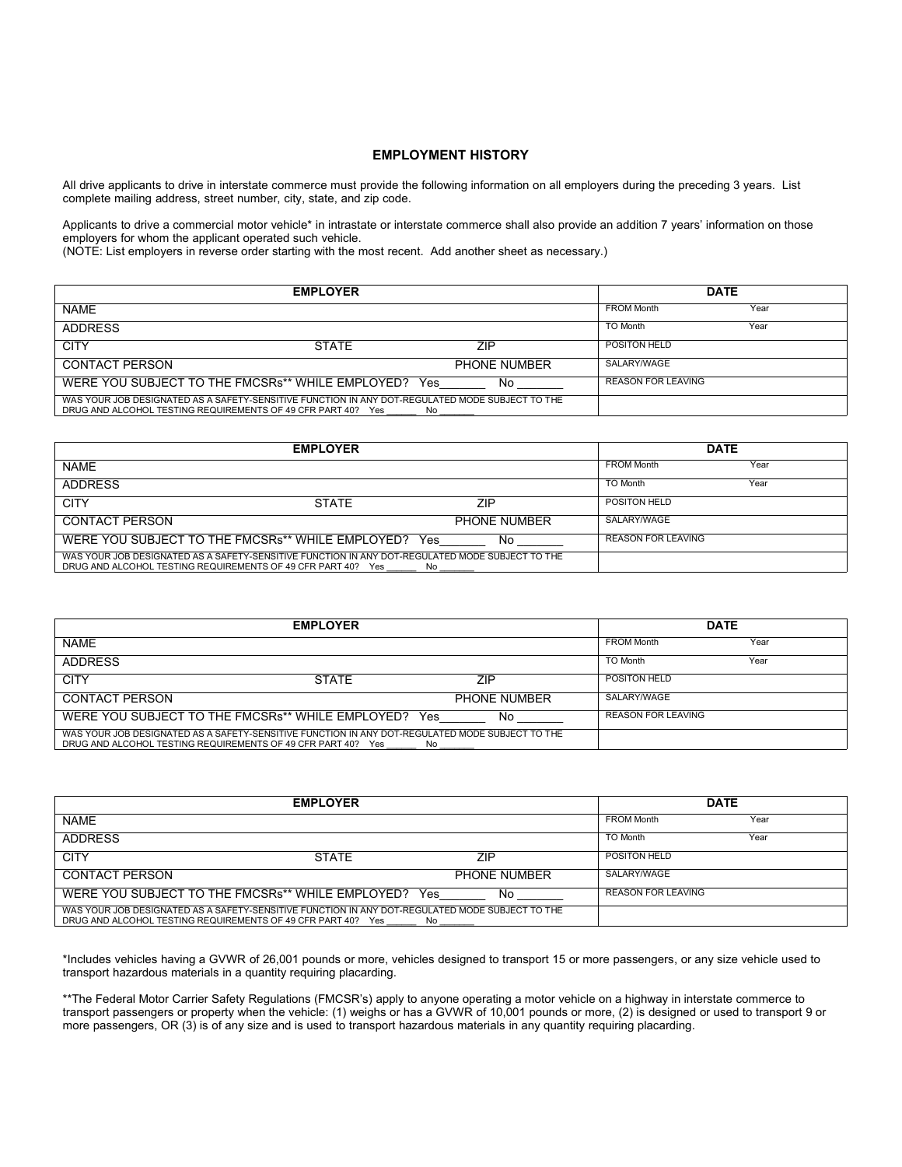#### **EMPLOYMENT HISTORY**

All drive applicants to drive in interstate commerce must provide the following information on all employers during the preceding 3 years. List complete mailing address, street number, city, state, and zip code.

Applicants to drive a commercial motor vehicle\* in intrastate or interstate commerce shall also provide an addition 7 years' information on those employers for whom the applicant operated such vehicle.

(NOTE: List employers in reverse order starting with the most recent. Add another sheet as necessary.)

|                                                                                                                                                                 | <b>EMPLOYER</b> |                     |                     | <b>DATE</b> |  |
|-----------------------------------------------------------------------------------------------------------------------------------------------------------------|-----------------|---------------------|---------------------|-------------|--|
| <b>NAME</b>                                                                                                                                                     |                 |                     | <b>FROM Month</b>   | Year        |  |
| <b>ADDRESS</b>                                                                                                                                                  |                 |                     | TO Month            | Year        |  |
| <b>CITY</b>                                                                                                                                                     | <b>STATE</b>    | ZIP                 | <b>POSITON HELD</b> |             |  |
| <b>CONTACT PERSON</b>                                                                                                                                           |                 | <b>PHONE NUMBER</b> | SALARY/WAGE         |             |  |
| WERE YOU SUBJECT TO THE FMCSRs** WHILE EMPLOYED?                                                                                                                |                 | No<br>Yes.          | REASON FOR LEAVING  |             |  |
| WAS YOUR JOB DESIGNATED AS A SAFETY-SENSITIVE FUNCTION IN ANY DOT-REGULATED MODE SUBJECT TO THE<br>DRUG AND ALCOHOL TESTING REQUIREMENTS OF 49 CFR PART 40? Yes |                 | No.                 |                     |             |  |

|                                                                                                 | <b>EMPLOYER</b> |      |                     |                           | <b>DATE</b> |
|-------------------------------------------------------------------------------------------------|-----------------|------|---------------------|---------------------------|-------------|
| <b>NAME</b>                                                                                     |                 |      |                     | <b>FROM Month</b>         | Year        |
| <b>ADDRESS</b>                                                                                  |                 |      |                     | TO Month                  | Year        |
| <b>CITY</b>                                                                                     | <b>STATE</b>    |      | <b>ZIP</b>          | <b>POSITON HELD</b>       |             |
| <b>CONTACT PERSON</b>                                                                           |                 |      | <b>PHONE NUMBER</b> | SALARY/WAGE               |             |
| WERE YOU SUBJECT TO THE FMCSRs** WHILE EMPLOYED?                                                |                 | Yes. | No                  | <b>REASON FOR LEAVING</b> |             |
| WAS YOUR JOB DESIGNATED AS A SAFETY-SENSITIVE FUNCTION IN ANY DOT-REGULATED MODE SUBJECT TO THE |                 |      |                     |                           |             |
| DRUG AND ALCOHOL TESTING REQUIREMENTS OF 49 CFR PART 40? Yes                                    |                 | No.  |                     |                           |             |

|                                                                                                                                                                        | <b>EMPLOYER</b>           |                     |                     | <b>DATE</b> |
|------------------------------------------------------------------------------------------------------------------------------------------------------------------------|---------------------------|---------------------|---------------------|-------------|
| <b>NAME</b>                                                                                                                                                            |                           |                     | <b>FROM Month</b>   | Year        |
| <b>ADDRESS</b>                                                                                                                                                         |                           |                     | TO Month            | Year        |
| <b>CITY</b>                                                                                                                                                            | <b>STATE</b>              | ZIP                 | <b>POSITON HELD</b> |             |
| <b>CONTACT PERSON</b>                                                                                                                                                  |                           | <b>PHONE NUMBER</b> | SALARY/WAGE         |             |
| WERE YOU SUBJECT TO THE FMCSRs** WHILE EMPLOYED?                                                                                                                       | <b>REASON FOR LEAVING</b> |                     |                     |             |
| WAS YOUR JOB DESIGNATED AS A SAFETY-SENSITIVE FUNCTION IN ANY DOT-REGULATED MODE SUBJECT TO THE<br>DRUG AND ALCOHOL TESTING REQUIREMENTS OF 49 CFR PART 40? Yes<br>No. |                           |                     |                     |             |

|                                                                                                 | <b>EMPLOYER</b> |                     |                           | <b>DATE</b> |
|-------------------------------------------------------------------------------------------------|-----------------|---------------------|---------------------------|-------------|
| <b>NAME</b>                                                                                     |                 |                     | <b>FROM Month</b>         | Year        |
| <b>ADDRESS</b>                                                                                  |                 |                     | TO Month                  | Year        |
| <b>CITY</b>                                                                                     | <b>STATE</b>    | ZIP                 | POSITON HELD              |             |
| <b>CONTACT PERSON</b>                                                                           |                 | <b>PHONE NUMBER</b> | SALARY/WAGE               |             |
| WERE YOU SUBJECT TO THE FMCSRs** WHILE EMPLOYED?                                                |                 | No<br>Yes.          | <b>REASON FOR LEAVING</b> |             |
| WAS YOUR JOB DESIGNATED AS A SAFETY-SENSITIVE FUNCTION IN ANY DOT-REGULATED MODE SUBJECT TO THE |                 |                     |                           |             |
| DRUG AND ALCOHOL TESTING REQUIREMENTS OF 49 CFR PART 40? Yes                                    |                 | No.                 |                           |             |

\*Includes vehicles having a GVWR of 26,001 pounds or more, vehicles designed to transport 15 or more passengers, or any size vehicle used to transport hazardous materials in a quantity requiring placarding.

\*\*The Federal Motor Carrier Safety Regulations (FMCSR's) apply to anyone operating a motor vehicle on a highway in interstate commerce to transport passengers or property when the vehicle: (1) weighs or has a GVWR of 10,001 pounds or more, (2) is designed or used to transport 9 or more passengers, OR (3) is of any size and is used to transport hazardous materials in any quantity requiring placarding.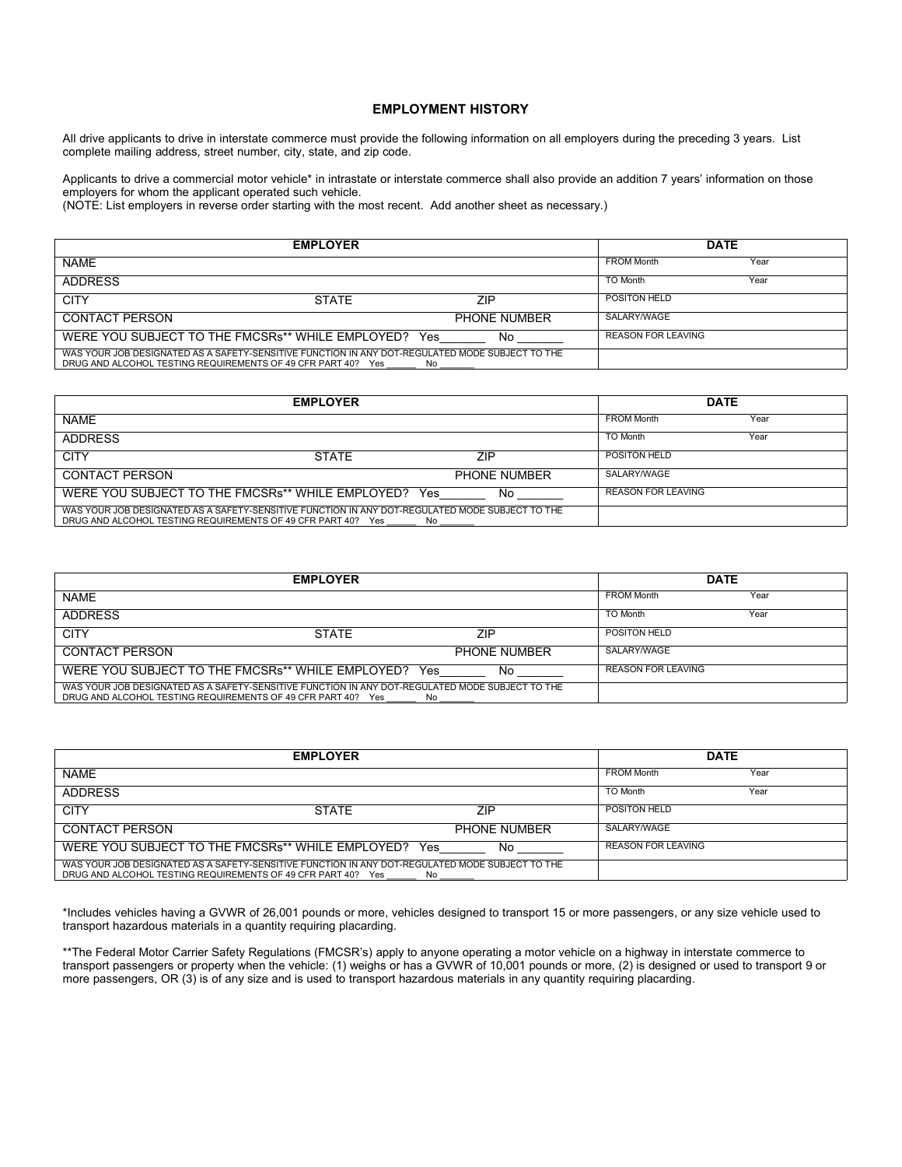#### **EMPLOYMENT HISTORY**

All drive applicants to drive in interstate commerce must provide the following information on all employers during the preceding 3 years. List complete mailing address, street number, city, state, and zip code.

Applicants to drive a commercial motor vehicle\* in intrastate or interstate commerce shall also provide an addition 7 years' information on those employers for whom the applicant operated such vehicle.

(NOTE: List employers in reverse order starting with the most recent. Add another sheet as necessary.)

| <b>EMPLOYER</b>                                                                                                                                                        |                           |                     | <b>DATE</b>         |      |
|------------------------------------------------------------------------------------------------------------------------------------------------------------------------|---------------------------|---------------------|---------------------|------|
| <b>NAME</b>                                                                                                                                                            |                           |                     | <b>FROM Month</b>   | Year |
| <b>ADDRESS</b>                                                                                                                                                         |                           |                     | TO Month            | Year |
| <b>CITY</b>                                                                                                                                                            | <b>STATE</b>              | ZIP                 | <b>POSITON HELD</b> |      |
| <b>CONTACT PERSON</b>                                                                                                                                                  |                           | <b>PHONE NUMBER</b> | SALARY/WAGE         |      |
| WERE YOU SUBJECT TO THE FMCSRs** WHILE EMPLOYED? Yes                                                                                                                   | <b>REASON FOR LEAVING</b> |                     |                     |      |
| WAS YOUR JOB DESIGNATED AS A SAFETY-SENSITIVE FUNCTION IN ANY DOT-REGULATED MODE SUBJECT TO THE<br>DRUG AND ALCOHOL TESTING REQUIREMENTS OF 49 CFR PART 40? Yes<br>No. |                           |                     |                     |      |

|                                                                                                                                                                 | <b>EMPLOYER</b> |              |                    | <b>DATE</b> |
|-----------------------------------------------------------------------------------------------------------------------------------------------------------------|-----------------|--------------|--------------------|-------------|
| <b>NAME</b>                                                                                                                                                     |                 |              | <b>FROM Month</b>  | Year        |
| ADDRESS                                                                                                                                                         |                 |              | TO Month           | Year        |
| <b>CITY</b>                                                                                                                                                     | <b>STATE</b>    | ZIP          | POSITON HELD       |             |
| <b>CONTACT PERSON</b>                                                                                                                                           |                 | PHONE NUMBER | SALARY/WAGE        |             |
| WERE YOU SUBJECT TO THE FMCSRs** WHILE EMPLOYED?                                                                                                                |                 | No<br>Yes    | REASON FOR LEAVING |             |
| WAS YOUR JOB DESIGNATED AS A SAFETY-SENSITIVE FUNCTION IN ANY DOT-REGULATED MODE SUBJECT TO THE<br>DRUG AND ALCOHOL TESTING REQUIREMENTS OF 49 CFR PART 40? Yes |                 | No.          |                    |             |

| <b>EMPLOYER</b>                                                                                                                                                 |              |                     | <b>DATE</b>               |      |
|-----------------------------------------------------------------------------------------------------------------------------------------------------------------|--------------|---------------------|---------------------------|------|
| <b>NAME</b>                                                                                                                                                     |              |                     | <b>FROM Month</b>         | Year |
| ADDRESS                                                                                                                                                         |              |                     | <b>TO Month</b>           | Year |
| <b>CITY</b>                                                                                                                                                     | <b>STATE</b> | <b>ZIP</b>          | <b>POSITON HELD</b>       |      |
| <b>CONTACT PERSON</b>                                                                                                                                           |              | <b>PHONE NUMBER</b> | SALARY/WAGE               |      |
| WERE YOU SUBJECT TO THE FMCSRs** WHILE EMPLOYED?                                                                                                                |              | Yes<br>No           | <b>REASON FOR LEAVING</b> |      |
| WAS YOUR JOB DESIGNATED AS A SAFETY-SENSITIVE FUNCTION IN ANY DOT-REGULATED MODE SUBJECT TO THE<br>DRUG AND ALCOHOL TESTING REQUIREMENTS OF 49 CFR PART 40? Yes |              | No.                 |                           |      |

| <b>EMPLOYER</b>                                                                                                                                                 |              |                     |                           | <b>DATE</b> |  |
|-----------------------------------------------------------------------------------------------------------------------------------------------------------------|--------------|---------------------|---------------------------|-------------|--|
| <b>NAME</b>                                                                                                                                                     |              |                     | <b>FROM Month</b>         | Year        |  |
| <b>ADDRESS</b>                                                                                                                                                  |              |                     | TO Month                  | Year        |  |
| <b>CITY</b>                                                                                                                                                     | <b>STATE</b> | 7IP                 | <b>POSITON HELD</b>       |             |  |
| <b>CONTACT PERSON</b>                                                                                                                                           |              | <b>PHONE NUMBER</b> | SALARY/WAGE               |             |  |
| WERE YOU SUBJECT TO THE FMCSRs** WHILE EMPLOYED?                                                                                                                |              | No<br>Yes.          | <b>REASON FOR LEAVING</b> |             |  |
| WAS YOUR JOB DESIGNATED AS A SAFETY-SENSITIVE FUNCTION IN ANY DOT-REGULATED MODE SUBJECT TO THE<br>DRUG AND ALCOHOL TESTING REQUIREMENTS OF 49 CFR PART 40? Yes |              | No.                 |                           |             |  |

\*Includes vehicles having a GVWR of 26,001 pounds or more, vehicles designed to transport 15 or more passengers, or any size vehicle used to transport hazardous materials in a quantity requiring placarding.

\*\*The Federal Motor Carrier Safety Regulations (FMCSR's) apply to anyone operating a motor vehicle on a highway in interstate commerce to transport passengers or property when the vehicle: (1) weighs or has a GVWR of 10,001 pounds or more, (2) is designed or used to transport 9 or more passengers, OR (3) is of any size and is used to transport hazardous materials in any quantity requiring placarding.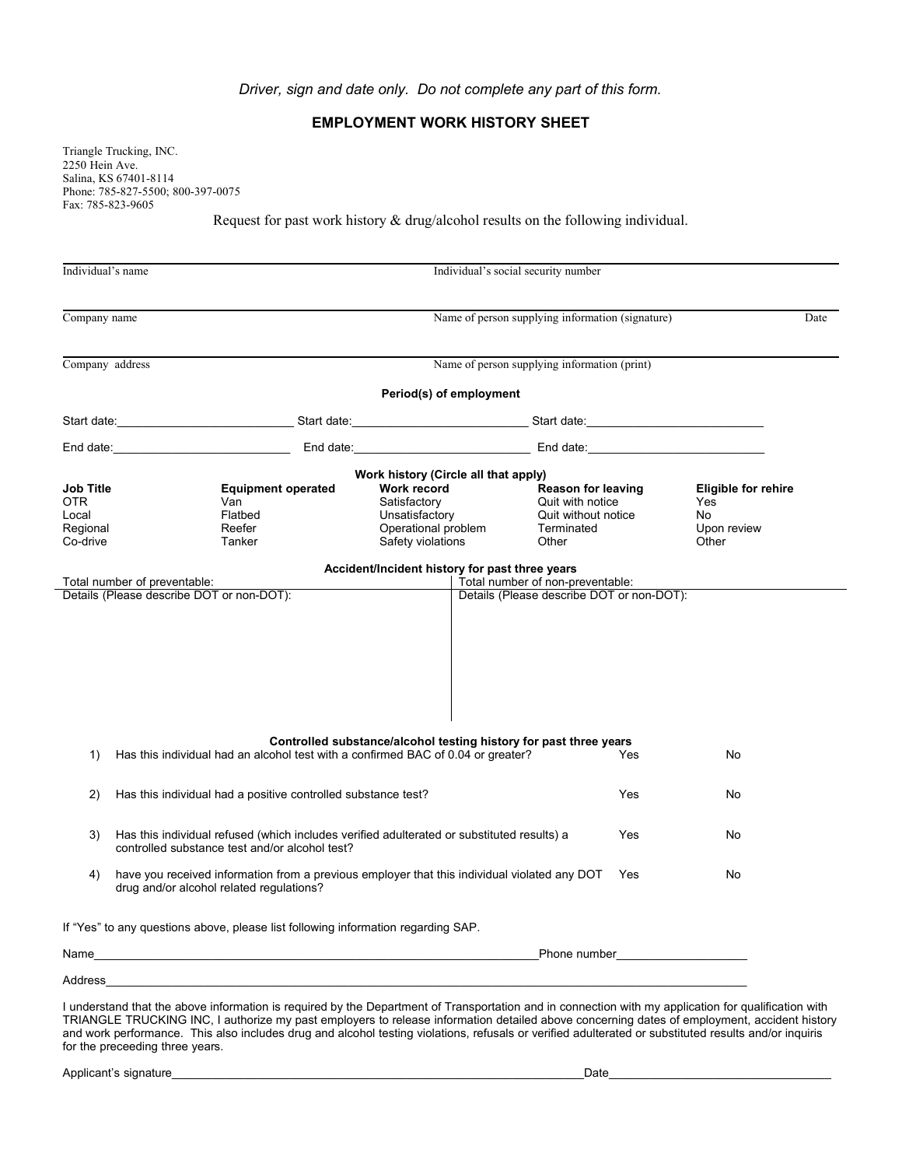### *Driver, sign and date only. Do not complete any part of this form.*

## **EMPLOYMENT WORK HISTORY SHEET**

Triangle Trucking, INC. 2250 Hein Ave. Salina, KS 67401-8114 Phone: 785-827-5500; 800-397-0075 Fax: 785-823-9605

Request for past work history & drug/alcohol results on the following individual.

| Individual's name                                        |                                                                                                                                                                                                                               |  |                                                                                                                                   | Individual's social security number                                                         |     |                                                                        |      |
|----------------------------------------------------------|-------------------------------------------------------------------------------------------------------------------------------------------------------------------------------------------------------------------------------|--|-----------------------------------------------------------------------------------------------------------------------------------|---------------------------------------------------------------------------------------------|-----|------------------------------------------------------------------------|------|
| Company name                                             |                                                                                                                                                                                                                               |  |                                                                                                                                   | Name of person supplying information (signature)                                            |     |                                                                        | Date |
| Company address                                          |                                                                                                                                                                                                                               |  |                                                                                                                                   | Name of person supplying information (print)                                                |     |                                                                        |      |
|                                                          |                                                                                                                                                                                                                               |  | Period(s) of employment                                                                                                           |                                                                                             |     |                                                                        |      |
|                                                          | Start date: Start date: Start date: Start date: Start date: Start date: Start date: Start date: Start date: Start date: Start date: Start date: Start date: Start date: Start date: Start date: Start date: Start date: Start |  |                                                                                                                                   |                                                                                             |     |                                                                        |      |
|                                                          | End date: the contract of the contract of the contract of the contract of the contract of the contract of the contract of the contract of the contract of the contract of the contract of the contract of the contract of the |  | End date: ___________________________________ End date: ________________________                                                  |                                                                                             |     |                                                                        |      |
| Job Title<br><b>OTR</b><br>Local<br>Regional<br>Co-drive | <b>Equipment operated</b><br>Van<br>Flatbed<br>Reefer<br>Tanker                                                                                                                                                               |  | Work history (Circle all that apply)<br>Work record<br>Satisfactory<br>Unsatisfactory<br>Operational problem<br>Safety violations | <b>Reason for leaving</b><br>Quit with notice<br>Quit without notice<br>Terminated<br>Other |     | <b>Eligible for rehire</b><br>Yes<br><b>No</b><br>Upon review<br>Other |      |
|                                                          | Total number of preventable:<br>Details (Please describe DOT or non-DOT):                                                                                                                                                     |  | Accident/Incident history for past three years                                                                                    | Total number of non-preventable:<br>Details (Please describe DOT or non-DOT):               |     |                                                                        |      |
| 1)                                                       | Has this individual had an alcohol test with a confirmed BAC of 0.04 or greater?                                                                                                                                              |  | Controlled substance/alcohol testing history for past three years                                                                 |                                                                                             | Yes | No                                                                     |      |
| 2)                                                       | Has this individual had a positive controlled substance test?                                                                                                                                                                 |  |                                                                                                                                   |                                                                                             | Yes | No                                                                     |      |
| 3)                                                       | Has this individual refused (which includes verified adulterated or substituted results) a<br>Yes<br>No<br>controlled substance test and/or alcohol test?                                                                     |  |                                                                                                                                   |                                                                                             |     |                                                                        |      |
| 4)                                                       | have you received information from a previous employer that this individual violated any DOT<br>Yes<br>No<br>drug and/or alcohol related regulations?                                                                         |  |                                                                                                                                   |                                                                                             |     |                                                                        |      |
|                                                          | If "Yes" to any questions above, please list following information regarding SAP.                                                                                                                                             |  |                                                                                                                                   |                                                                                             |     |                                                                        |      |
| Name                                                     | <u> 1989 - Johann John Stone, mars eta bainar eta bainar eta baina eta baina eta baina eta baina eta baina eta b</u>                                                                                                          |  |                                                                                                                                   |                                                                                             |     |                                                                        |      |
| Address                                                  |                                                                                                                                                                                                                               |  |                                                                                                                                   |                                                                                             |     |                                                                        |      |
|                                                          |                                                                                                                                                                                                                               |  |                                                                                                                                   |                                                                                             |     |                                                                        |      |

I understand that the above information is required by the Department of Transportation and in connection with my application for qualification with TRIANGLE TRUCKING INC, I authorize my past employers to release information detailed above concerning dates of employment, accident history and work performance. This also includes drug and alcohol testing violations, refusals or verified adulterated or substituted results and/or inquiris for the preceeding three years.

Applicant's signature example of the state of the state of the state of the state of the state of the state of the state of the state of the state of the state of the state of the state of the state of the state of the sta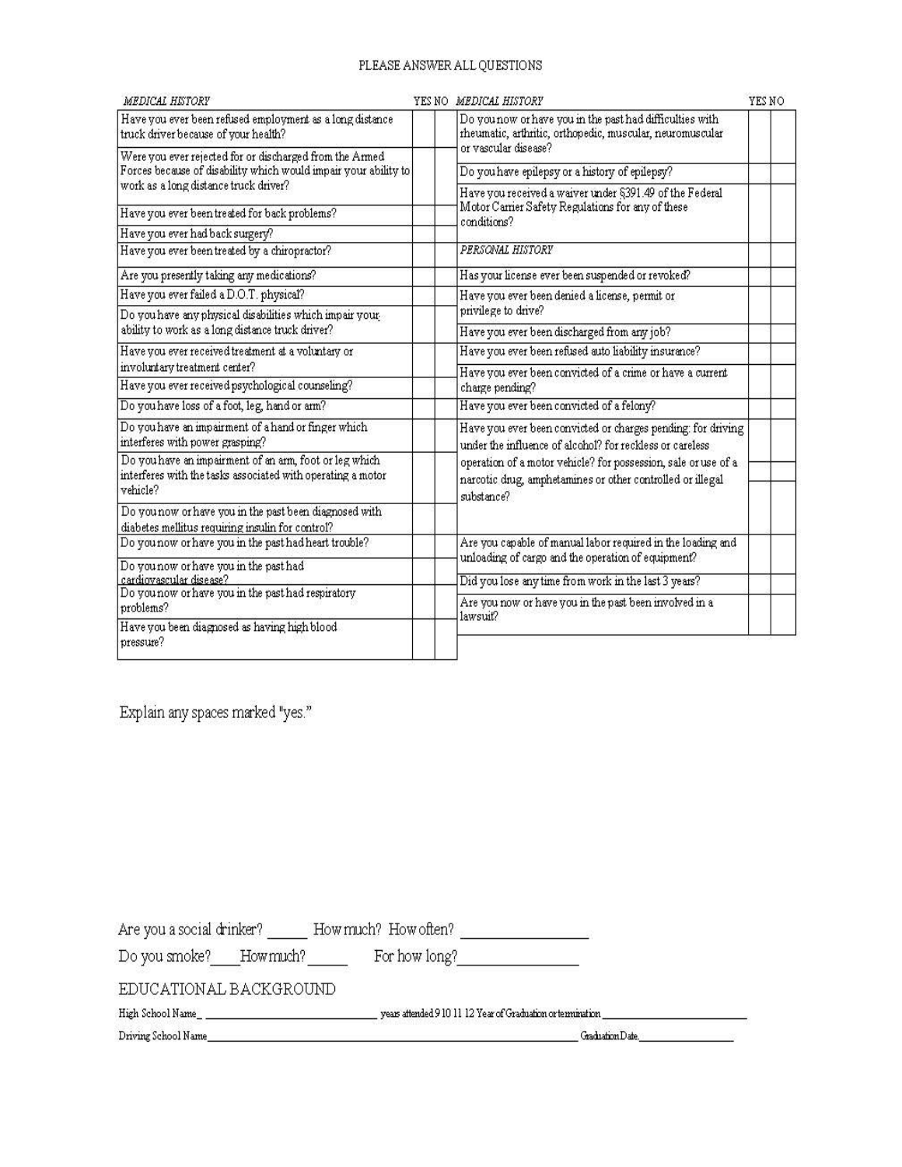# PLEASE ANSWER ALL QUESTIONS

| MEDICAL HISTORY                                                                                                                   |  | YES NO MEDICAL HISTORY                                                                                                                     | YES NO |  |
|-----------------------------------------------------------------------------------------------------------------------------------|--|--------------------------------------------------------------------------------------------------------------------------------------------|--------|--|
| Have you ever been refused employment as a long distance<br>truck driver because of your health?                                  |  | Do you now or have you in the past had difficulties with<br>rheumatic, arthritic, orthopedic, muscular, neuromuscular                      |        |  |
| Were you ever rejected for or discharged from the Armed                                                                           |  | or vascular disease?                                                                                                                       |        |  |
| Forces because of disability which would impair your ability to                                                                   |  | Do you have epilepsy or a history of epilepsy?                                                                                             |        |  |
| work as a long distance truck driver?                                                                                             |  | Have you received a waiver under §391.49 of the Federal                                                                                    |        |  |
| Have you ever been treated for back problems?                                                                                     |  | Motor Carrier Safety Regulations for any of these<br>conditions?                                                                           |        |  |
| Have you ever had back surgery?                                                                                                   |  |                                                                                                                                            |        |  |
| Have you ever been treated by a chiropractor?                                                                                     |  | PERSONAL HISTORY                                                                                                                           |        |  |
| Are you presently taking any medications?                                                                                         |  | Has your license ever been suspended or revoked?                                                                                           |        |  |
| Have you ever failed a D.O.T. physical?                                                                                           |  | Have you ever been denied a license, permit or                                                                                             |        |  |
| Do you have any physical disabilities which impair your                                                                           |  | privilege to drive?                                                                                                                        |        |  |
| ability to work as a long distance truck driver?                                                                                  |  | Have you ever been discharged from any job?                                                                                                |        |  |
| Have you ever received treatment at a voluntary or                                                                                |  | Have you ever been refused auto liability insurance?                                                                                       |        |  |
| involuntary treatment center?                                                                                                     |  | Have you ever been convicted of a crime or have a current                                                                                  |        |  |
| Have you ever received psychological counseling?                                                                                  |  | charge pending?                                                                                                                            |        |  |
| Do you have loss of a foot, leg, hand or arm?                                                                                     |  | Have you ever been convicted of a felony?                                                                                                  |        |  |
| Do you have an impairment of a hand or finger which<br>interferes with power grasping?                                            |  | Have you ever been convicted or charges pending: for driving<br>under the influence of alcohol? for reckless or careless                   |        |  |
| Do you have an impairment of an arm, foot or leg which<br>interferes with the tasks associated with operating a motor<br>vehicle? |  | operation of a motor vehicle? for possession, sale or use of a<br>narcotic drug, amphetamines or other controlled or illegal<br>substance? |        |  |
| Do you now or have you in the past been diagnosed with<br>diabetes mellitus requiring insulin for control?                        |  |                                                                                                                                            |        |  |
| Do you now or have you in the past had heart trouble?                                                                             |  | Are you capable of manual labor required in the loading and                                                                                |        |  |
| Do you now or have you in the past had                                                                                            |  | unloading of cargo and the operation of equipment?                                                                                         |        |  |
| cardiovascular disease?<br>Do you now or have you in the past had respiratory                                                     |  | Did you lose any time from work in the last 3 years?                                                                                       |        |  |
| problems?                                                                                                                         |  | Are you now or have you in the past been involved in a<br>lawsuit?                                                                         |        |  |
| Have you been diagnosed as having high blood<br>pressure?                                                                         |  |                                                                                                                                            |        |  |

Explain any spaces marked "yes."

| Are you a social drinker? |           | How much? How often? |                                                            |
|---------------------------|-----------|----------------------|------------------------------------------------------------|
| Do you smoke?             | How much? | For how long?        |                                                            |
| EDUCATIONAL BACKGROUND    |           |                      |                                                            |
| High School Name          |           |                      | years attended 910 11 12 Year of Graduation or termination |
| Driving School Name       |           |                      | Graduation Date.                                           |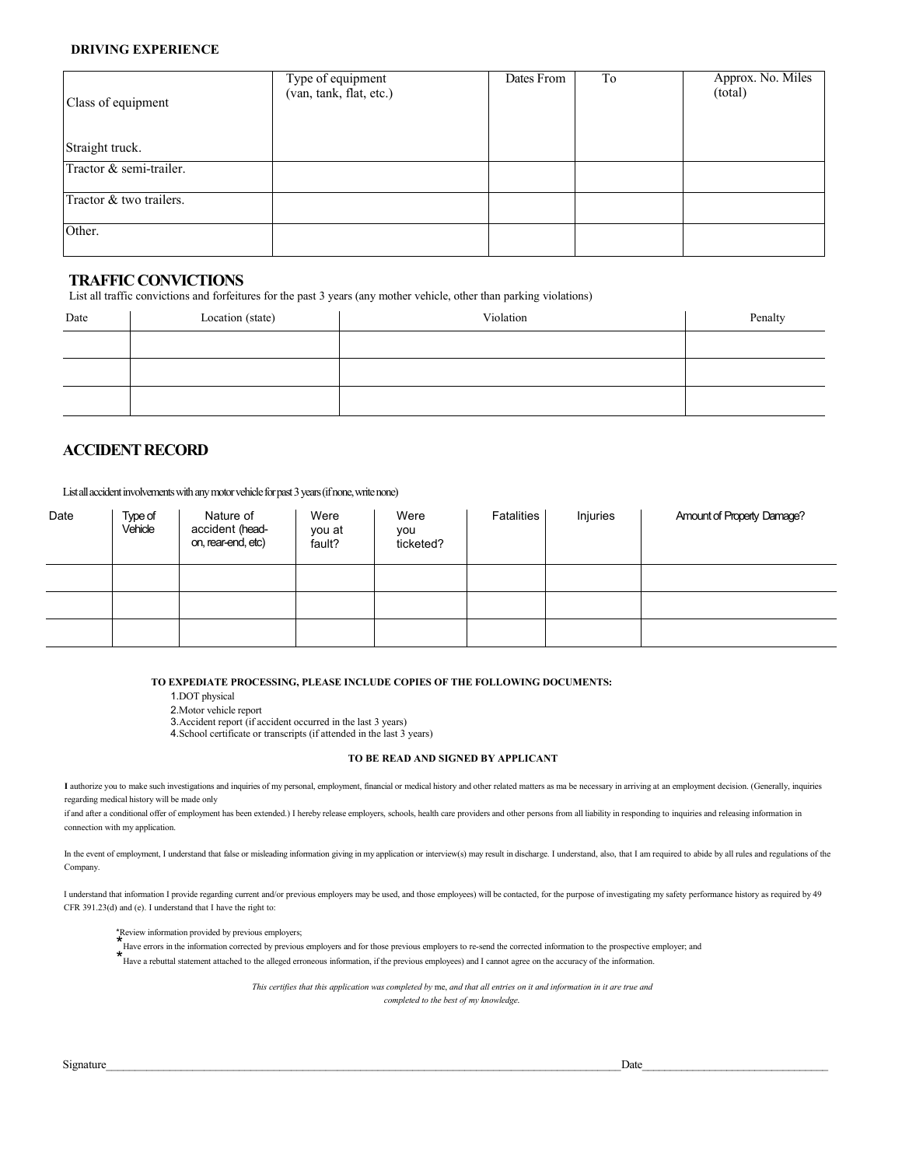#### **DRIVING EXPERIENCE**

| Class of equipment      | Type of equipment<br>(van, tank, flat, etc.) | Dates From | To | Approx. No. Miles<br>(total) |
|-------------------------|----------------------------------------------|------------|----|------------------------------|
| Straight truck.         |                                              |            |    |                              |
| Tractor & semi-trailer. |                                              |            |    |                              |
| Tractor & two trailers. |                                              |            |    |                              |
| Other.                  |                                              |            |    |                              |

#### **TRAFFICCONVICTIONS**

List all traffic convictions and forfeitures for the past 3 years (any mother vehicle, other than parking violations)

| Date | Location (state) | Violation | Penalty |
|------|------------------|-----------|---------|
|      |                  |           |         |
|      |                  |           |         |
|      |                  |           |         |

### **ACCIDENT RECORD**

List all accident involvements with any motor vehicle for past 3 years (if none, write none)

| Date | Type of<br>Vehicle | Nature of<br>accident (head-<br>on, rear-end, etc) | Were<br>you at<br>fault? | Were<br>you<br>ticketed? | Fatalities | Injuries | Amount of Property Damage? |
|------|--------------------|----------------------------------------------------|--------------------------|--------------------------|------------|----------|----------------------------|
|      |                    |                                                    |                          |                          |            |          |                            |
|      |                    |                                                    |                          |                          |            |          |                            |
|      |                    |                                                    |                          |                          |            |          |                            |

**TO EXPEDIATE PROCESSING, PLEASE INCLUDE COPIES OF THE FOLLOWING DOCUMENTS:**

1.DOT physical

2.Motor vehicle report

3.Accident report (if accident occurred in the last 3 years)

4.School certificate or transcripts (if attended in the last 3 years)

#### **TO BE READ AND SIGNED BY APPLICANT**

I authorize you to make such investigations and inquiries of my personal, employment, financial or medical history and other related matters as ma be necessary in arriving at an employment decision. (Generally, inquiries regarding medical history will be made only

if and after a conditional offer of employment has been extended.) I hereby release employers, schools, health care providers and other persons from all liability in responding to inquiries and releasing information in connection with my application.

In the event of employment, I understand that false or misleading information giving in my application or interview(s) may result in discharge. I understand, also, that I am required to abide by all rules and regulations o Company.

I understand that information I provide regarding current and/or previous employers may be used, and those employees) will be contacted, for the purpose of investigating my safety performance history as required by 49 CFR 391.23(d) and (e). I understand that I have the right to:

\*Review information provided by previous employers;

\*Have errors in the information corrected by previous employers and for those previous employers to re-send the corrected information to the prospective employer; and

\*Have a rebuttal statement attached to the alleged erroneous information, if the previous employees) and I cannot agree on the accuracy of the information.

*This certifies that this application was completed by* me, *and that all entries on it and information in it are true and completed to the best of my knowledge.*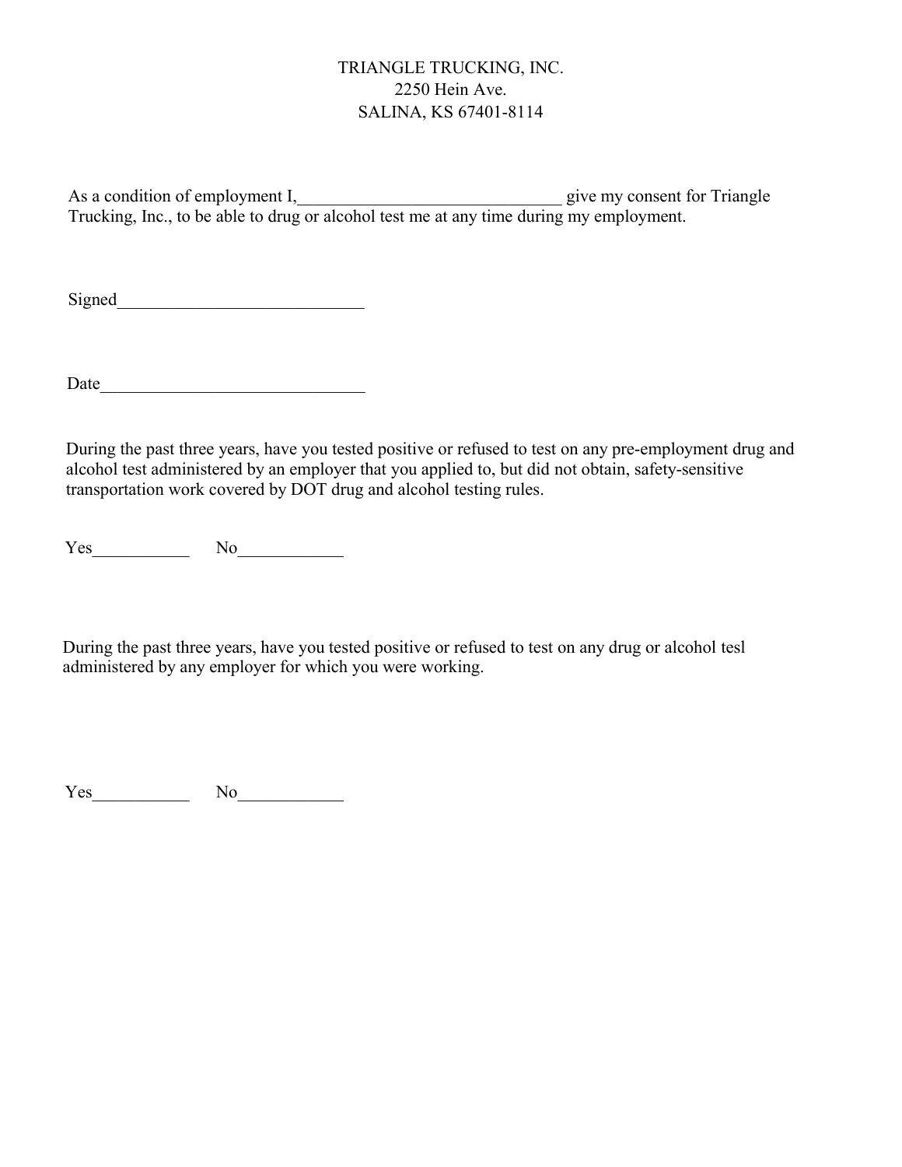# TRIANGLE TRUCKING, INC. 2250 Hein Ave. SALINA, KS 67401-8114

As a condition of employment I, example 1 and  $\frac{1}{2}$  give my consent for Triangle Trucking, Inc., to be able to drug or alcohol test me at any time during my employment.

Signed\_\_\_\_\_\_\_\_\_\_\_\_\_\_\_\_\_\_\_\_\_\_\_\_\_\_\_\_

Date\_\_\_\_\_\_\_\_\_\_\_\_\_\_\_\_\_\_\_\_\_\_\_\_\_\_\_\_\_\_

During the past three years, have you tested positive or refused to test on any pre-employment drug and alcohol test administered by an employer that you applied to, but did not obtain, safety-sensitive transportation work covered by DOT drug and alcohol testing rules.

Yes\_\_\_\_\_\_\_\_\_\_\_ No\_\_\_\_\_\_\_\_\_\_\_\_

During the past three years, have you tested positive or refused to test on any drug or alcohol tesl administered by any employer for which you were working.

Yes\_\_\_\_\_\_\_\_\_\_\_ No\_\_\_\_\_\_\_\_\_\_\_\_